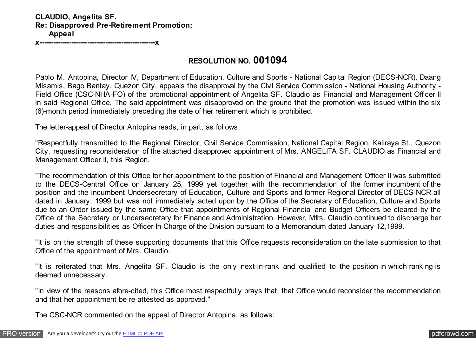## **CLAUDIO, Angelita SF. Re: Disapproved Pre-Retirement Promotion; Appeal**

**x---------------------------------------------------x**

## **RESOLUTION NO. 001094**

Pablo M. Antopina, Director IV, Department of Education, Culture and Sports - National Capital Region (DECS-NCR), Daang Misamis, Bago Bantay, Quezon City, appeals the disapproval by the Civil Service Commission - National Housing Authority - Field Office (CSC-NHA-FO) of the promotional appointment of Angelita SF. Claudio as Financial and Management Officer II in said Regional Office. The said appointment was disapproved on the ground that the promotion was issued within the six (6)-month period immediately preceding the date of her retirement which is prohibited.

The letter-appeal of Director Antopina reads, in part, as follows:

"Respectfully transmitted to the Regional Director, Civil Service Commission, National Capital Region, Kaliraya St., Quezon City, requesting reconsideration of the attached disapproved appointment of Mrs. ANGELITA SF. CLAUDIO as Financial and Management Officer II, this Region.

"The recommendation of this Office for her appointment to the position of Financial and Management Officer II was submitted to the DECS-Central Office on January 25, 1999 yet together with the recommendation of the former incumbent of the position and the incumbent Undersecretary of Education, Culture and Sports and former Regional Director of DECS-NCR all dated in January, 1999 but was not immediately acted upon by the Office of the Secretary of Education, Culture and Sports due to an Order issued by the same Office that appointments of Regional Financial and Budget Officers be cleared by the Office of the Secretary or Undersecretary for Finance and Administration. However, Mfrs. Claudio continued to discharge her duties and responsibilities as Officer-In-Charge of the Division pursuant to a Memorandum dated January 12,1999.

"It is on the strength of these supporting documents that this Office requests reconsideration on the late submission to that Office of the appointment of Mrs. Claudio.

"It is reiterated that Mrs. Angelita SF. Claudio is the only next-in-rank and qualified to the position in which ranking is deemed unnecessary.

"In view of the reasons afore-cited, this Office most respectfully prays that, that Office would reconsider the recommendation and that her appointment be re-attested as approved."

The CSC-NCR commented on the appeal of Director Antopina, as follows: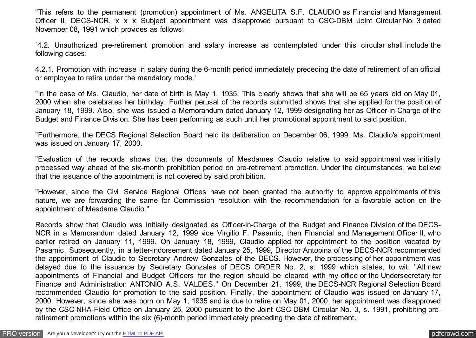"This refers to the permanent (promotion) appointment of Ms. ANGELITA S.F. CLAUDIO as Financial and Management Officer II, DECS-NCR. x x x Subject appointment was disapproved pursuant to CSC-DBM Joint Circular No. 3 dated November 08, 1991 which provides as follows:

`4.2. Unauthorized pre-retirement promotion and salary increase as contemplated under this circular shall include the following cases:

4.2.1. Promotion with increase in salary during the 6-month period immediately preceding the date of retirement of an official or employee to retire under the mandatory mode.'

"In the case of Ms. Claudio, her date of birth is May 1, 1935. This clearly shows that she will be 65 years old on May 01, 2000 when she celebrates her birthday. Further perusal of the records submitted shows that she applied for the position of January 18, 1999. Also, she was issued a Memorandum dated January 12, 1999 designating her as Officer-in-Charge of the Budget and Finance Division. She has been performing as such until her promotional appointment to said position.

"Furthermore, the DECS Regional Selection Board held its deliberation on December 06, 1999. Ms. Claudio's appointment was issued on January 17, 2000.

"Evaluation of the records shows that the documents of Mesdames Claudio relative to said appointment was initially processed way ahead of the six-month prohibition period on pre-retirement promotion. Under the circumstances, we believe that the issuance of the appointment is not covered by said prohibition.

"However, since the Civil Service Regional Offices have not been granted the authority to approve appointments of this nature, we are forwarding the same for Commission resolution with the recommendation for a favorable action on the appointment of Mesdame Claudio."

Records show that Claudio was initially designated as Officer-in-Charge of the Budget and Finance Division of the DECS-NCR in a Memorandum dated January 12, 1999 vice Virgilio F. Pasamic, then Financial and Management Officer II, who earlier retired on January 11, 1999. On January 18, 1999, Claudio applied for appointment to the position vacated by Pasamic. Subsequently, in a letter-indorsement dated January 25, 1999, Director Antopina of the DECS-NCR recommended the appointment of Claudio to Secretary Andrew Gonzales of the DECS. However, the processing of her appointment was delayed due to the issuance by Secretary Gonzales of DECS ORDER No. 2, s: 1999 which states, to wit: "All new appointments of Financial and Budget Officers for the region should be cleared with my office or the Undersecretary for Finance and Administration ANTONIO A.S. VALDES." On December 21, 1999, the DECS-NCR Regional Selection Board recommended Claudio for promotion to the said position. Finally, the appointment of Claudio was issued on January 17, 2000. However, since she was born on May 1, 1935 and is due to retire on May 01, 2000, her appointment was disapproved by the CSC-NHA-Field Office on January 25, 2000 pursuant to the Joint CSC-DBM Circular No. 3, s. 1991, prohibiting preretirement promotions within the six (6)-month period immediately preceding the date of retirement.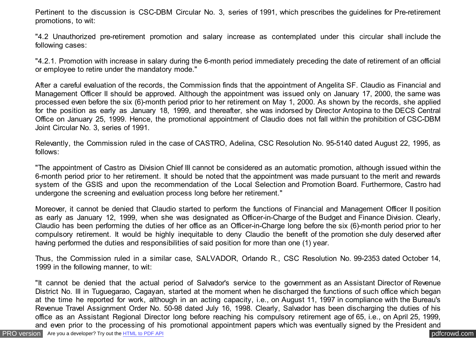Pertinent to the discussion is CSC-DBM Circular No. 3, series of 1991, which prescribes the guidelines for Pre-retirement promotions, to wit:

"4.2 Unauthorized pre-retirement promotion and salary increase as contemplated under this circular shall include the following cases:

"4.2.1. Promotion with increase in salary during the 6-month period immediately preceding the date of retirement of an official or employee to retire under the mandatory mode."

After a careful evaluation of the records, the Commission finds that the appointment of Angelita SF. Claudio as Financial and Management Officer II should be approved. Although the appointment was issued only on January 17, 2000, the same was processed even before the six (6)-month period prior to her retirement on May 1, 2000. As shown by the records, she applied for the position as early as January 18, 1999, and thereafter, she was indorsed by Director Antopina to the DECS Central Office on January 25, 1999. Hence, the promotional appointment of Claudio does not fall within the prohibition of CSC-DBM Joint Circular No. 3, series of 1991.

Relevantly, the Commission ruled in the case of CASTRO, Adelina, CSC Resolution No. 95-5140 dated August 22, 1995, as follows:

"The appointment of Castro as Division Chief III cannot be considered as an automatic promotion, although issued within the 6-month period prior to her retirement. It should be noted that the appointment was made pursuant to the merit and rewards system of the GSIS and upon the recommendation of the Local Selection and Promotion Board. Furthermore, Castro had undergone the screening and evaluation process long before her retirement."

Moreover, it cannot be denied that Claudio started to perform the functions of Financial and Management Officer II position as early as January 12, 1999, when she was designated as Officer-in-Charge of the Budget and Finance Division. Clearly, Claudio has been performing the duties of her office as an Officer-in-Charge long before the six (6)-month period prior to her compulsory retirement. It would be highly inequitable to deny Claudio the benefit of the promotion she duly deserved after having performed the duties and responsibilities of said position for more than one (1) year.

Thus, the Commission ruled in a similar case, SALVADOR, Orlando R., CSC Resolution No. 99-2353 dated October 14, 1999 in the following manner, to wit:

"It cannot be denied that the actual period of Salvador's service to the government as an Assistant Director of Revenue District No. III in Tuguegarao, Cagayan, started at the moment when he discharged the functions of such office which began at the time he reported for work, although in an acting capacity, i.e., on August 11, 1997 in compliance with the Bureau's Revenue Travel Assignment Order No. 50-98 dated July 16, 1998. Clearly, Salvador has been discharging the duties of his office as an Assistant Regional Director long before reaching his compulsory retirement age of 65, i.e., on April 25, 1999, and even prior to the processing of his promotional appointment papers which was eventually signed by the President and